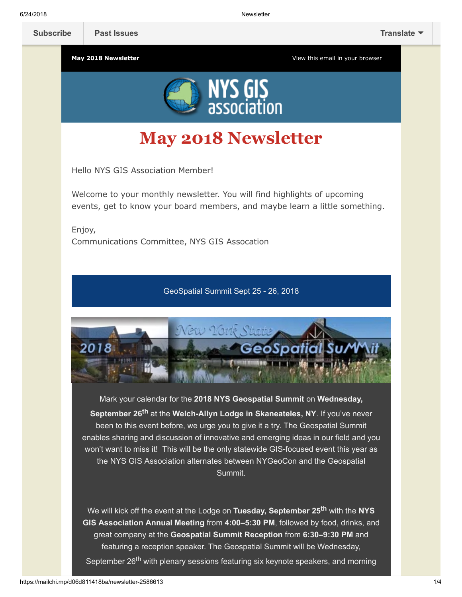**May 2018 Newsletter** May 2018 Newsletter **[View this email in your browser](https://mailchi.mp/d06d811418ba/newsletter-2586613?e=[UNIQID])** 



## **May 2018 Newsletter**

Hello NYS GIS Association Member!

Welcome to your monthly newsletter. You will find highlights of upcoming events, get to know your board members, and maybe learn a little something.

Enjoy, Communications Committee, NYS GIS Assocation

GeoSpatial Summit Sept 25 - 26, 2018



Mark your calendar for the **2018 NYS Geospatial Summit** on **Wednesday, September 26th** at the **Welch-Allyn Lodge in Skaneateles, NY**. If you've never been to this event before, we urge you to give it a try. The Geospatial Summit enables sharing and discussion of innovative and emerging ideas in our field and you won't want to miss it! This will be the only statewide GIS-focused event this year as the NYS GIS Association alternates between NYGeoCon and the Geospatial Summit.

We will kick off the event at the Lodge on **Tuesday, September 25th** with the **NYS GIS Association Annual Meeting** from **4:00–5:30 PM**, followed by food, drinks, and great company at the **Geospatial Summit Reception** from **6:30–9:30 PM** and featuring a reception speaker. The Geospatial Summit will be Wednesday, September 26<sup>th</sup> with plenary sessions featuring six keynote speakers, and morning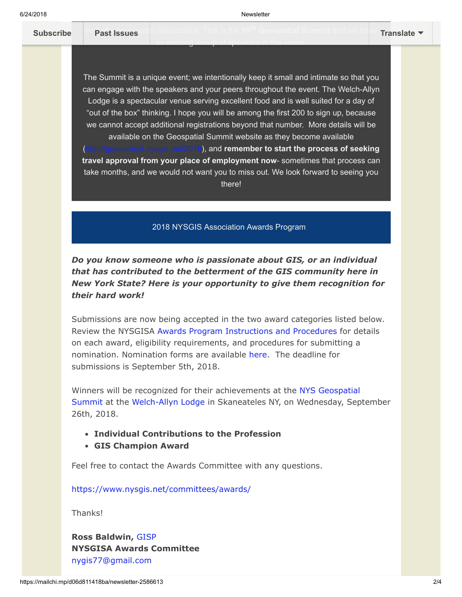[and afternoon pane](https://us9.campaign-archive.com/home/?u=79136ebe8b18b11ee073cc61c&id=787fea6e72)l discussions. This is the 10<sup>th</sup> Geospatial Summit and we have **[Subscribe](http://eepurl.com/c1OotD) Past Issues [Translate](javascript:;)**

an exciting lineup of speakers in the works.

The Summit is a unique event; we intentionally keep it small and intimate so that you can engage with the speakers and your peers throughout the event. The Welch-Allyn Lodge is a spectacular venue serving excellent food and is well suited for a day of "out of the box" thinking. I hope you will be among the first 200 to sign up, because we cannot accept additional registrations beyond that number. More details will be available on the Geospatial Summit website as they become available (), and remember to start the process of seeking **travel approval from your place of employment now**- sometimes that process can take months, and we would not want you to miss out. We look forward to seeing you there!

2018 NYSGIS Association Awards Program

*Do you know someone who is passionate about GIS, or an individual that has contributed to the betterment of the GIS community here in New York State? Here is your opportunity to give them recognition for their hard work!*

Submissions are now being accepted in the two award categories listed below. Review the NYSGISA [Awards Program Instructions and Procedures](https://res.cloudinary.com/nysgisassociation/image/upload/v1525443107/2018-NYSGISAwardProgram_Procedures_r6cuv3.pdf) for details on each award, eligibility requirements, and procedures for submitting a nomination. Nomination forms are available [here.](https://nysgis.net/Docs/Awards/2018/NYSGISA_Award_Form.docx) The deadline for submissions is September 5th, 2018.

Winners will be recognized for their achievements at the NYS Geospatial [Summit at the Welch-Allyn Lodge in Skaneateles NY, on Wednesday, Sep](https://geosummit.nysgis.net/2018/)tember 26th, 2018.

- **Individual Contributions to the Profession**
- **GIS Champion Award**

Feel free to contact the Awards Committee with any questions.

<https://www.nysgis.net/committees/awards/>

Thanks!

**Ross Baldwin,** [GISP](http://www.gisci.org/) **NYSGISA Awards Committee** [nygis77@gmail.com](mailto:nygis77@gmail.com)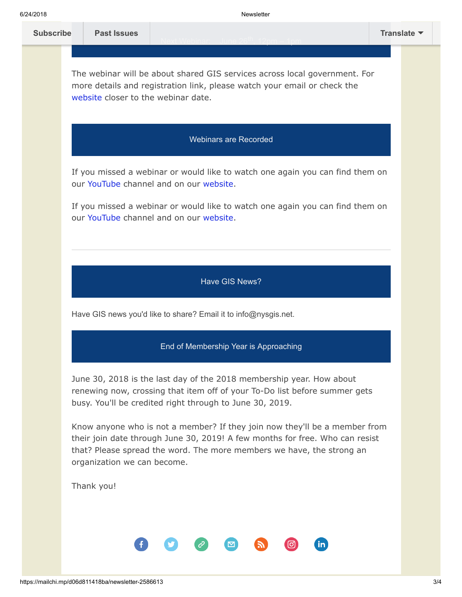| 6/24/2018        |                                     |                                                                 | <b>Newsletter</b>                                                                                                                                                                                                                   |             |
|------------------|-------------------------------------|-----------------------------------------------------------------|-------------------------------------------------------------------------------------------------------------------------------------------------------------------------------------------------------------------------------------|-------------|
| <b>Subscribe</b> | <b>Past Issues</b>                  |                                                                 |                                                                                                                                                                                                                                     | Translate ▼ |
|                  | website closer to the webinar date. |                                                                 | The webinar will be about shared GIS services across local government. For<br>more details and registration link, please watch your email or check the                                                                              |             |
|                  |                                     | <b>Webinars are Recorded</b>                                    |                                                                                                                                                                                                                                     |             |
|                  |                                     | our YouTube channel and on our website.                         | If you missed a webinar or would like to watch one again you can find them on                                                                                                                                                       |             |
|                  |                                     | our YouTube channel and on our website.                         | If you missed a webinar or would like to watch one again you can find them on                                                                                                                                                       |             |
|                  |                                     |                                                                 |                                                                                                                                                                                                                                     |             |
|                  |                                     | Have GIS News?                                                  |                                                                                                                                                                                                                                     |             |
|                  |                                     | Have GIS news you'd like to share? Email it to info@nysgis.net. |                                                                                                                                                                                                                                     |             |
|                  |                                     | End of Membership Year is Approaching                           |                                                                                                                                                                                                                                     |             |
|                  |                                     | busy. You'll be credited right through to June 30, 2019.        | June 30, 2018 is the last day of the 2018 membership year. How about<br>renewing now, crossing that item off of your To-Do list before summer gets                                                                                  |             |
|                  | organization we can become.         |                                                                 | Know anyone who is not a member? If they join now they'll be a member from<br>their join date through June 30, 2019! A few months for free. Who can resist<br>that? Please spread the word. The more members we have, the strong an |             |
|                  | Thank you!                          |                                                                 |                                                                                                                                                                                                                                     |             |

 $\bullet$ 

2

0

 $\mathbf O$ 

 $\bullet$ 

 $\bigcirc$